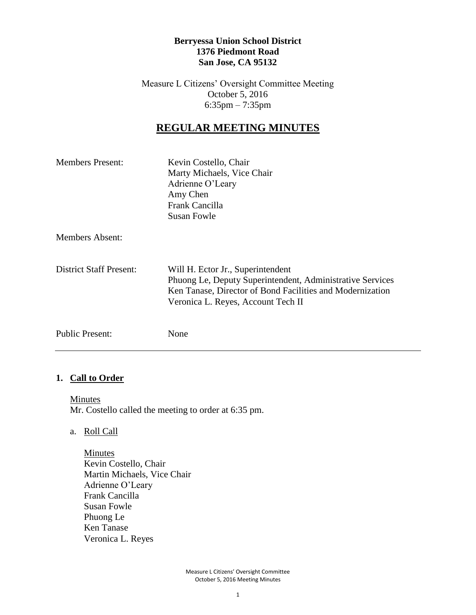#### **Berryessa Union School District 1376 Piedmont Road San Jose, CA 95132**

Measure L Citizens' Oversight Committee Meeting October 5, 2016 6:35pm – 7:35pm

# **REGULAR MEETING MINUTES**

| <b>Members Present:</b> | Kevin Costello, Chair<br>Marty Michaels, Vice Chair<br>Adrienne O'Leary<br>Amy Chen<br>Frank Cancilla<br>Susan Fowle                                                                              |
|-------------------------|---------------------------------------------------------------------------------------------------------------------------------------------------------------------------------------------------|
| <b>Members Absent:</b>  |                                                                                                                                                                                                   |
| District Staff Present: | Will H. Ector Jr., Superintendent<br>Phuong Le, Deputy Superintendent, Administrative Services<br>Ken Tanase, Director of Bond Facilities and Modernization<br>Veronica L. Reyes, Account Tech II |
| <b>Public Present:</b>  | None                                                                                                                                                                                              |

## **1. Call to Order**

**Minutes** Mr. Costello called the meeting to order at 6:35 pm.

a. Roll Call

Minutes Kevin Costello, Chair Martin Michaels, Vice Chair Adrienne O'Leary Frank Cancilla Susan Fowle Phuong Le Ken Tanase Veronica L. Reyes

> Measure L Citizens' Oversight Committee October 5, 2016 Meeting Minutes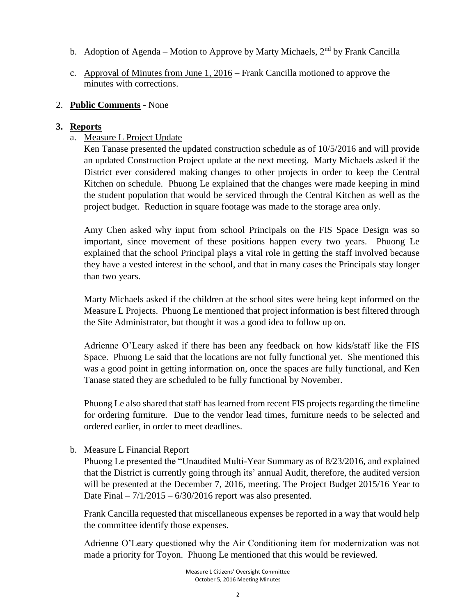- b. Adoption of Agenda Motion to Approve by Marty Michaels,  $2<sup>nd</sup>$  by Frank Cancilla
- c. Approval of Minutes from June 1, 2016 Frank Cancilla motioned to approve the minutes with corrections.

#### 2. **Public Comments** - None

## **3. Reports**

a. Measure L Project Update

Ken Tanase presented the updated construction schedule as of 10/5/2016 and will provide an updated Construction Project update at the next meeting. Marty Michaels asked if the District ever considered making changes to other projects in order to keep the Central Kitchen on schedule. Phuong Le explained that the changes were made keeping in mind the student population that would be serviced through the Central Kitchen as well as the project budget. Reduction in square footage was made to the storage area only.

Amy Chen asked why input from school Principals on the FIS Space Design was so important, since movement of these positions happen every two years. Phuong Le explained that the school Principal plays a vital role in getting the staff involved because they have a vested interest in the school, and that in many cases the Principals stay longer than two years.

Marty Michaels asked if the children at the school sites were being kept informed on the Measure L Projects. Phuong Le mentioned that project information is best filtered through the Site Administrator, but thought it was a good idea to follow up on.

Adrienne O'Leary asked if there has been any feedback on how kids/staff like the FIS Space. Phuong Le said that the locations are not fully functional yet. She mentioned this was a good point in getting information on, once the spaces are fully functional, and Ken Tanase stated they are scheduled to be fully functional by November.

Phuong Le also shared that staff has learned from recent FIS projects regarding the timeline for ordering furniture. Due to the vendor lead times, furniture needs to be selected and ordered earlier, in order to meet deadlines.

b. Measure L Financial Report

Phuong Le presented the "Unaudited Multi-Year Summary as of 8/23/2016, and explained that the District is currently going through its' annual Audit, therefore, the audited version will be presented at the December 7, 2016, meeting. The Project Budget 2015/16 Year to Date Final  $-7/1/2015 - 6/30/2016$  report was also presented.

Frank Cancilla requested that miscellaneous expenses be reported in a way that would help the committee identify those expenses.

Adrienne O'Leary questioned why the Air Conditioning item for modernization was not made a priority for Toyon. Phuong Le mentioned that this would be reviewed.